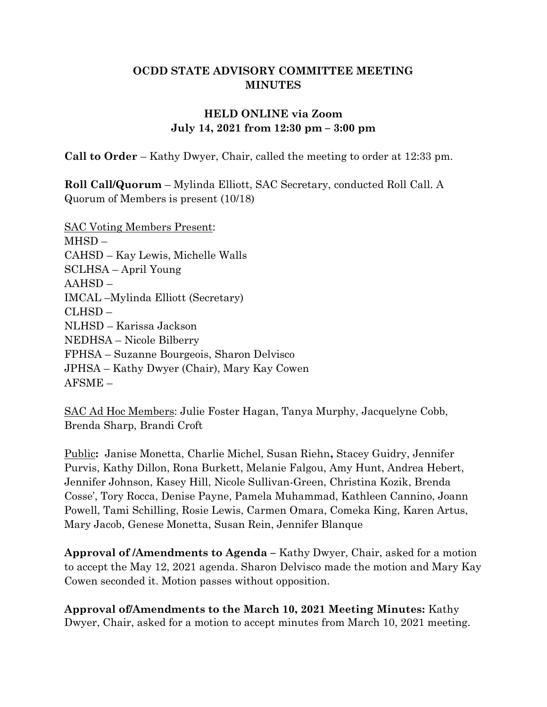#### OCDD STATE ADVISORY COMMITTEE MEETING **MINUTES**

### HELD ONLINE via Zoom July 14, 2021 from 12:30 pm – 3:00 pm

Call to Order – Kathy Dwyer, Chair, called the meeting to order at 12:33 pm.

Roll Call/Quorum – Mylinda Elliott, SAC Secretary, conducted Roll Call. A Quorum of Members is present (10/18)

SAC Voting Members Present: MHSD – CAHSD – Kay Lewis, Michelle Walls SCLHSA – April Young AAHSD – IMCAL –Mylinda Elliott (Secretary) CLHSD – NLHSD – Karissa Jackson NEDHSA – Nicole Bilberry FPHSA – Suzanne Bourgeois, Sharon Delvisco JPHSA – Kathy Dwyer (Chair), Mary Kay Cowen AFSME –

SAC Ad Hoc Members: Julie Foster Hagan, Tanya Murphy, Jacquelyne Cobb, Brenda Sharp, Brandi Croft

Public: Janise Monetta, Charlie Michel, Susan Riehn, Stacey Guidry, Jennifer Purvis, Kathy Dillon, Rona Burkett, Melanie Falgou, Amy Hunt, Andrea Hebert, Jennifer Johnson, Kasey Hill, Nicole Sullivan-Green, Christina Kozik, Brenda Cosse', Tory Rocca, Denise Payne, Pamela Muhammad, Kathleen Cannino, Joann Powell, Tami Schilling, Rosie Lewis, Carmen Omara, Comeka King, Karen Artus, Mary Jacob, Genese Monetta, Susan Rein, Jennifer Blanque

Approval of /Amendments to Agenda – Kathy Dwyer, Chair, asked for a motion to accept the May 12, 2021 agenda. Sharon Delvisco made the motion and Mary Kay Cowen seconded it. Motion passes without opposition.

Approval of/Amendments to the March 10, 2021 Meeting Minutes: Kathy Dwyer, Chair, asked for a motion to accept minutes from March 10, 2021 meeting.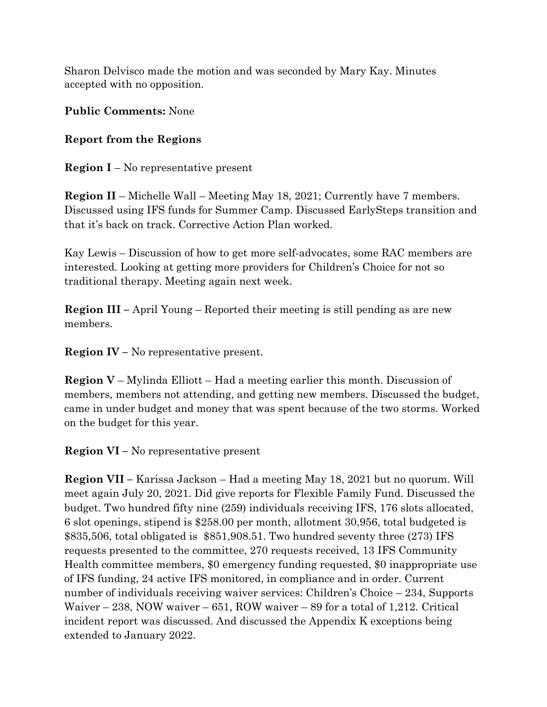Sharon Delvisco made the motion and was seconded by Mary Kay. Minutes accepted with no opposition.

Public Comments: None

## Report from the Regions

**Region I** – No representative present

Region II – Michelle Wall – Meeting May 18, 2021; Currently have 7 members. Discussed using IFS funds for Summer Camp. Discussed EarlySteps transition and that it's back on track. Corrective Action Plan worked.

Kay Lewis – Discussion of how to get more self-advocates, some RAC members are interested. Looking at getting more providers for Children's Choice for not so traditional therapy. Meeting again next week.

Region III – April Young – Reported their meeting is still pending as are new members.

Region IV – No representative present.

**Region V** – Mylinda Elliott – Had a meeting earlier this month. Discussion of members, members not attending, and getting new members. Discussed the budget, came in under budget and money that was spent because of the two storms. Worked on the budget for this year.

Region VI – No representative present

Region VII – Karissa Jackson – Had a meeting May 18, 2021 but no quorum. Will meet again July 20, 2021. Did give reports for Flexible Family Fund. Discussed the budget. Two hundred fifty nine (259) individuals receiving IFS, 176 slots allocated, 6 slot openings, stipend is \$258.00 per month, allotment 30,956, total budgeted is \$835,506, total obligated is \$851,908.51. Two hundred seventy three (273) IFS requests presented to the committee, 270 requests received, 13 IFS Community Health committee members, \$0 emergency funding requested, \$0 inappropriate use of IFS funding, 24 active IFS monitored, in compliance and in order. Current number of individuals receiving waiver services: Children's Choice – 234, Supports Waiver – 238, NOW waiver – 651, ROW waiver – 89 for a total of 1,212. Critical incident report was discussed. And discussed the Appendix K exceptions being extended to January 2022.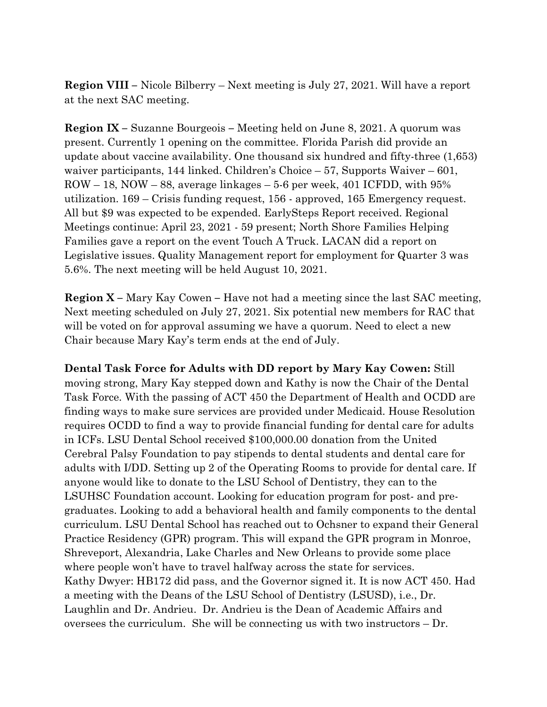Region VIII – Nicole Bilberry – Next meeting is July 27, 2021. Will have a report at the next SAC meeting.

Region IX – Suzanne Bourgeois – Meeting held on June 8, 2021. A quorum was present. Currently 1 opening on the committee. Florida Parish did provide an update about vaccine availability. One thousand six hundred and fifty-three (1,653) waiver participants, 144 linked. Children's Choice – 57, Supports Waiver – 601, ROW – 18, NOW – 88, average linkages – 5-6 per week, 401 ICFDD, with 95% utilization. 169 – Crisis funding request, 156 - approved, 165 Emergency request. All but \$9 was expected to be expended. EarlySteps Report received. Regional Meetings continue: April 23, 2021 - 59 present; North Shore Families Helping Families gave a report on the event Touch A Truck. LACAN did a report on Legislative issues. Quality Management report for employment for Quarter 3 was 5.6%. The next meeting will be held August 10, 2021.

Region X – Mary Kay Cowen – Have not had a meeting since the last SAC meeting, Next meeting scheduled on July 27, 2021. Six potential new members for RAC that will be voted on for approval assuming we have a quorum. Need to elect a new Chair because Mary Kay's term ends at the end of July.

Dental Task Force for Adults with DD report by Mary Kay Cowen: Still moving strong, Mary Kay stepped down and Kathy is now the Chair of the Dental Task Force. With the passing of ACT 450 the Department of Health and OCDD are finding ways to make sure services are provided under Medicaid. House Resolution requires OCDD to find a way to provide financial funding for dental care for adults in ICFs. LSU Dental School received \$100,000.00 donation from the United Cerebral Palsy Foundation to pay stipends to dental students and dental care for adults with I/DD. Setting up 2 of the Operating Rooms to provide for dental care. If anyone would like to donate to the LSU School of Dentistry, they can to the LSUHSC Foundation account. Looking for education program for post- and pregraduates. Looking to add a behavioral health and family components to the dental curriculum. LSU Dental School has reached out to Ochsner to expand their General Practice Residency (GPR) program. This will expand the GPR program in Monroe, Shreveport, Alexandria, Lake Charles and New Orleans to provide some place where people won't have to travel halfway across the state for services. Kathy Dwyer: HB172 did pass, and the Governor signed it. It is now ACT 450. Had a meeting with the Deans of the LSU School of Dentistry (LSUSD), i.e., Dr. Laughlin and Dr. Andrieu. Dr. Andrieu is the Dean of Academic Affairs and oversees the curriculum. She will be connecting us with two instructors – Dr.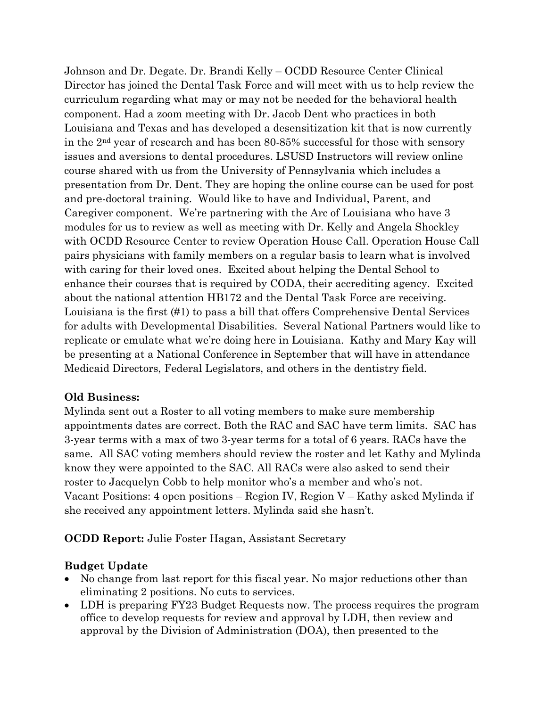Johnson and Dr. Degate. Dr. Brandi Kelly – OCDD Resource Center Clinical Director has joined the Dental Task Force and will meet with us to help review the curriculum regarding what may or may not be needed for the behavioral health component. Had a zoom meeting with Dr. Jacob Dent who practices in both Louisiana and Texas and has developed a desensitization kit that is now currently in the 2nd year of research and has been 80-85% successful for those with sensory issues and aversions to dental procedures. LSUSD Instructors will review online course shared with us from the University of Pennsylvania which includes a presentation from Dr. Dent. They are hoping the online course can be used for post and pre-doctoral training. Would like to have and Individual, Parent, and Caregiver component. We're partnering with the Arc of Louisiana who have 3 modules for us to review as well as meeting with Dr. Kelly and Angela Shockley with OCDD Resource Center to review Operation House Call. Operation House Call pairs physicians with family members on a regular basis to learn what is involved with caring for their loved ones. Excited about helping the Dental School to enhance their courses that is required by CODA, their accrediting agency. Excited about the national attention HB172 and the Dental Task Force are receiving. Louisiana is the first (#1) to pass a bill that offers Comprehensive Dental Services for adults with Developmental Disabilities. Several National Partners would like to replicate or emulate what we're doing here in Louisiana. Kathy and Mary Kay will be presenting at a National Conference in September that will have in attendance Medicaid Directors, Federal Legislators, and others in the dentistry field.

#### Old Business:

Mylinda sent out a Roster to all voting members to make sure membership appointments dates are correct. Both the RAC and SAC have term limits. SAC has 3-year terms with a max of two 3-year terms for a total of 6 years. RACs have the same. All SAC voting members should review the roster and let Kathy and Mylinda know they were appointed to the SAC. All RACs were also asked to send their roster to Jacquelyn Cobb to help monitor who's a member and who's not. Vacant Positions: 4 open positions – Region IV, Region V – Kathy asked Mylinda if she received any appointment letters. Mylinda said she hasn't.

#### OCDD Report: Julie Foster Hagan, Assistant Secretary

#### Budget Update

- No change from last report for this fiscal year. No major reductions other than eliminating 2 positions. No cuts to services.
- LDH is preparing FY23 Budget Requests now. The process requires the program office to develop requests for review and approval by LDH, then review and approval by the Division of Administration (DOA), then presented to the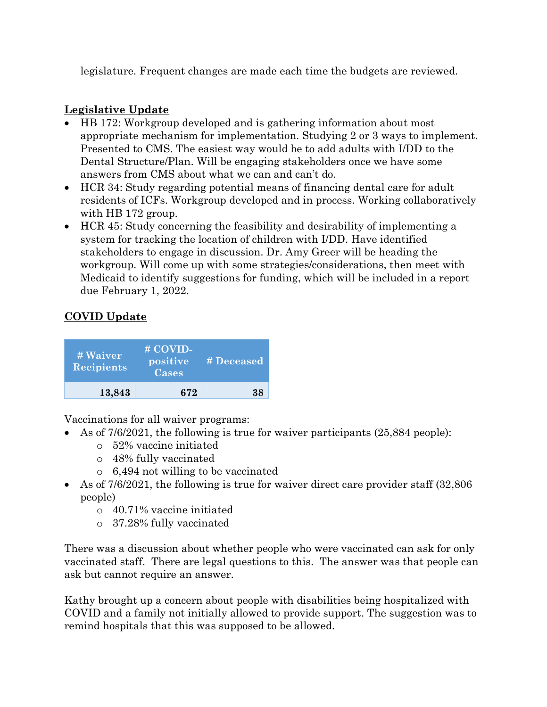legislature. Frequent changes are made each time the budgets are reviewed.

## Legislative Update

- HB 172: Workgroup developed and is gathering information about most appropriate mechanism for implementation. Studying 2 or 3 ways to implement. Presented to CMS. The easiest way would be to add adults with I/DD to the Dental Structure/Plan. Will be engaging stakeholders once we have some answers from CMS about what we can and can't do.
- HCR 34: Study regarding potential means of financing dental care for adult residents of ICFs. Workgroup developed and in process. Working collaboratively with HB 172 group.
- HCR 45: Study concerning the feasibility and desirability of implementing a system for tracking the location of children with I/DD. Have identified stakeholders to engage in discussion. Dr. Amy Greer will be heading the workgroup. Will come up with some strategies/considerations, then meet with Medicaid to identify suggestions for funding, which will be included in a report due February 1, 2022.

# COVID Update

| # Waiver<br><b>Recipients</b> | # COVID-<br>positive<br>Cases | # Deceased |
|-------------------------------|-------------------------------|------------|
| 13,843                        | 672                           | 38         |

Vaccinations for all waiver programs:

- As of  $7/6/2021$ , the following is true for waiver participants  $(25,884 \text{ people})$ :
	- o 52% vaccine initiated
	- o 48% fully vaccinated
	- o 6,494 not willing to be vaccinated
- As of 7/6/2021, the following is true for waiver direct care provider staff (32,806 people)
	- o 40.71% vaccine initiated
	- o 37.28% fully vaccinated

There was a discussion about whether people who were vaccinated can ask for only vaccinated staff. There are legal questions to this. The answer was that people can ask but cannot require an answer.

Kathy brought up a concern about people with disabilities being hospitalized with COVID and a family not initially allowed to provide support. The suggestion was to remind hospitals that this was supposed to be allowed.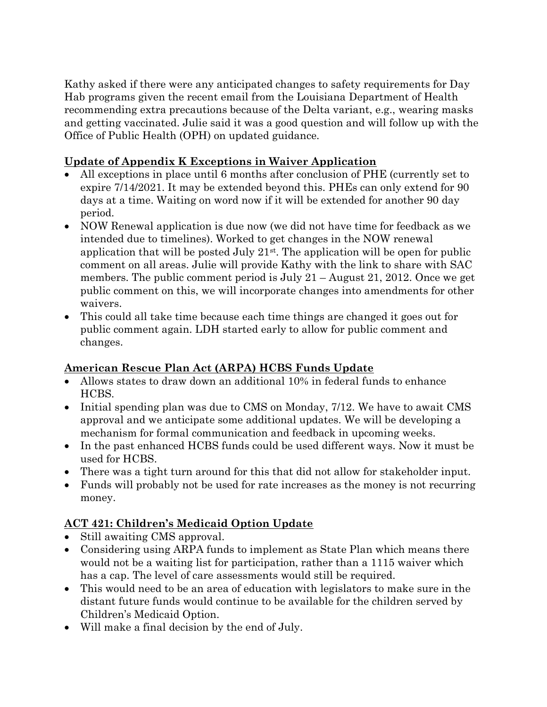Kathy asked if there were any anticipated changes to safety requirements for Day Hab programs given the recent email from the Louisiana Department of Health recommending extra precautions because of the Delta variant, e.g., wearing masks and getting vaccinated. Julie said it was a good question and will follow up with the Office of Public Health (OPH) on updated guidance.

### Update of Appendix K Exceptions in Waiver Application

- All exceptions in place until 6 months after conclusion of PHE (currently set to expire 7/14/2021. It may be extended beyond this. PHEs can only extend for 90 days at a time. Waiting on word now if it will be extended for another 90 day period.
- NOW Renewal application is due now (we did not have time for feedback as we intended due to timelines). Worked to get changes in the NOW renewal application that will be posted July  $21<sup>st</sup>$ . The application will be open for public comment on all areas. Julie will provide Kathy with the link to share with SAC members. The public comment period is July 21 – August 21, 2012. Once we get public comment on this, we will incorporate changes into amendments for other waivers.
- This could all take time because each time things are changed it goes out for public comment again. LDH started early to allow for public comment and changes.

### American Rescue Plan Act (ARPA) HCBS Funds Update

- Allows states to draw down an additional 10% in federal funds to enhance HCBS.
- Initial spending plan was due to CMS on Monday, 7/12. We have to await CMS approval and we anticipate some additional updates. We will be developing a mechanism for formal communication and feedback in upcoming weeks.
- In the past enhanced HCBS funds could be used different ways. Now it must be used for HCBS.
- There was a tight turn around for this that did not allow for stakeholder input.
- Funds will probably not be used for rate increases as the money is not recurring money.

# ACT 421: Children's Medicaid Option Update

- Still awaiting CMS approval.
- Considering using ARPA funds to implement as State Plan which means there would not be a waiting list for participation, rather than a 1115 waiver which has a cap. The level of care assessments would still be required.
- This would need to be an area of education with legislators to make sure in the distant future funds would continue to be available for the children served by Children's Medicaid Option.
- Will make a final decision by the end of July.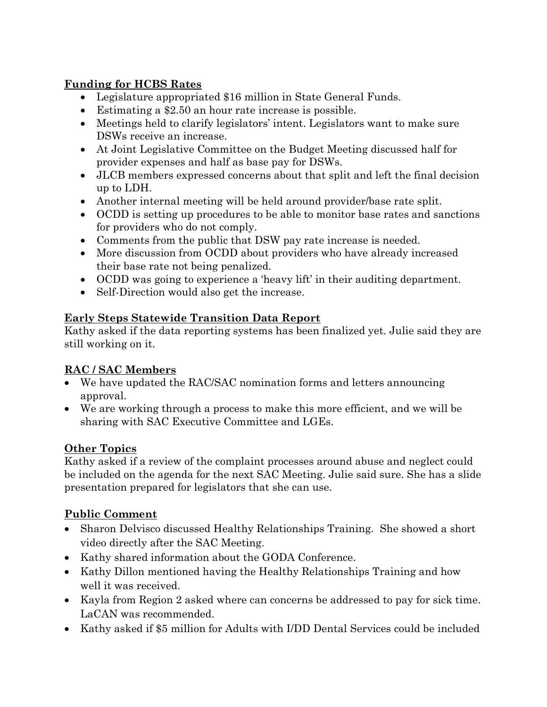## Funding for HCBS Rates

- Legislature appropriated \$16 million in State General Funds.
- Estimating a \$2.50 an hour rate increase is possible.
- Meetings held to clarify legislators' intent. Legislators want to make sure DSWs receive an increase.
- At Joint Legislative Committee on the Budget Meeting discussed half for provider expenses and half as base pay for DSWs.
- JLCB members expressed concerns about that split and left the final decision up to LDH.
- Another internal meeting will be held around provider/base rate split.
- OCDD is setting up procedures to be able to monitor base rates and sanctions for providers who do not comply.
- Comments from the public that DSW pay rate increase is needed.
- More discussion from OCDD about providers who have already increased their base rate not being penalized.
- OCDD was going to experience a 'heavy lift' in their auditing department.
- Self-Direction would also get the increase.

#### Early Steps Statewide Transition Data Report

Kathy asked if the data reporting systems has been finalized yet. Julie said they are still working on it.

#### RAC / SAC Members

- We have updated the RAC/SAC nomination forms and letters announcing approval.
- We are working through a process to make this more efficient, and we will be sharing with SAC Executive Committee and LGEs.

### Other Topics

Kathy asked if a review of the complaint processes around abuse and neglect could be included on the agenda for the next SAC Meeting. Julie said sure. She has a slide presentation prepared for legislators that she can use.

### Public Comment

- Sharon Delvisco discussed Healthy Relationships Training. She showed a short video directly after the SAC Meeting.
- Kathy shared information about the GODA Conference.
- Kathy Dillon mentioned having the Healthy Relationships Training and how well it was received.
- Kayla from Region 2 asked where can concerns be addressed to pay for sick time. LaCAN was recommended.
- Kathy asked if \$5 million for Adults with I/DD Dental Services could be included